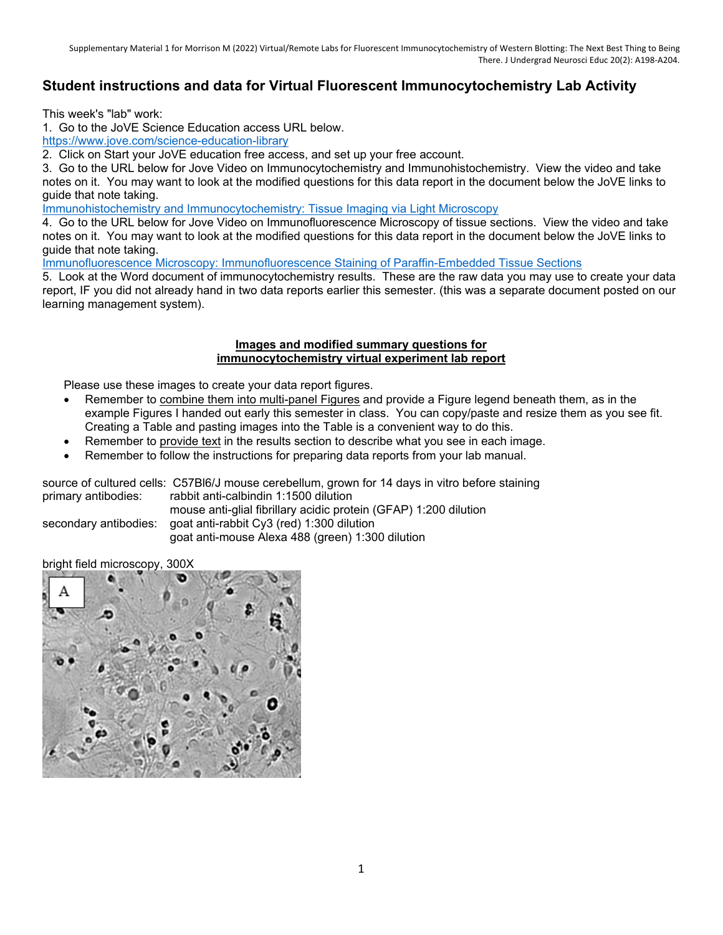## **Student instructions and data for Virtual Fluorescent Immunocytochemistry Lab Activity**

This week's "lab" work:

1. Go to the JoVE Science Education access URL below.

https://www.jove.com/science-education-library

2. Click on Start your JoVE education free access, and set up your free account.

3. Go to the URL below for Jove Video on Immunocytochemistry and Immunohistochemistry. View the video and take notes on it. You may want to look at the modified questions for this data report in the document below the JoVE links to guide that note taking.

Immunohistochemistry and Immunocytochemistry: Tissue Imaging via Light Microscopy

4. Go to the URL below for Jove Video on Immunofluorescence Microscopy of tissue sections. View the video and take notes on it. You may want to look at the modified questions for this data report in the document below the JoVE links to guide that note taking.

Immunofluorescence Microscopy: Immunofluorescence Staining of Paraffin-Embedded Tissue Sections

5. Look at the Word document of immunocytochemistry results. These are the raw data you may use to create your data report, IF you did not already hand in two data reports earlier this semester. (this was a separate document posted on our learning management system).

## **Images and modified summary questions for immunocytochemistry virtual experiment lab report**

Please use these images to create your data report figures.

- Remember to combine them into multi-panel Figures and provide a Figure legend beneath them, as in the example Figures I handed out early this semester in class. You can copy/paste and resize them as you see fit. Creating a Table and pasting images into the Table is a convenient way to do this.
- Remember to provide text in the results section to describe what you see in each image.
- Remember to follow the instructions for preparing data reports from your lab manual.

|                     | source of cultured cells: C57Bl6/J mouse cerebellum, grown for 14 days in vitro before staining |
|---------------------|-------------------------------------------------------------------------------------------------|
| primary antibodies: | rabbit anti-calbindin 1:1500 dilution                                                           |
|                     | mouse anti-glial fibrillary acidic protein (GFAP) 1:200 dilution                                |
|                     | secondary antibodies: goat anti-rabbit Cy3 (red) 1:300 dilution                                 |
|                     | goat anti-mouse Alexa 488 (green) 1:300 dilution                                                |

bright field microscopy, 300X

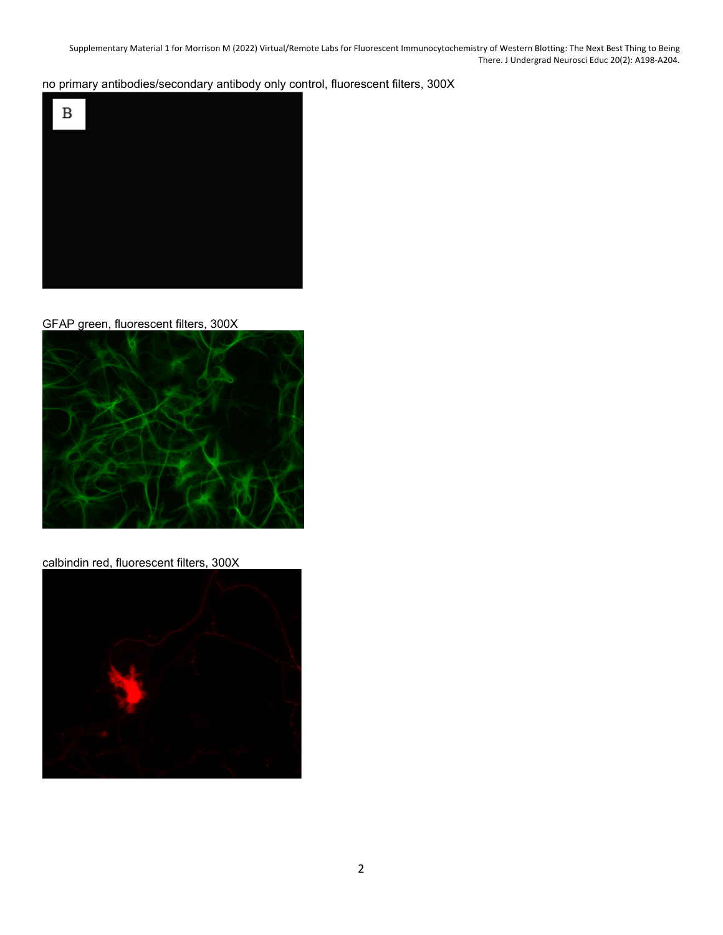Supplementary Material 1 for Morrison M (2022) Virtual/Remote Labs for Fluorescent Immunocytochemistry of Western Blotting: The Next Best Thing to Being There. J Undergrad Neurosci Educ 20(2): A198‐A204.

no primary antibodies/secondary antibody only control, fluorescent filters, 300X



GFAP green, fluorescent filters, 300X



calbindin red, fluorescent filters, 300X